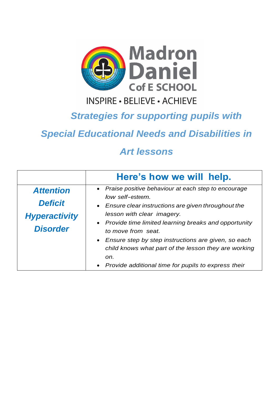

## **INSPIRE - BELIEVE - ACHIEVE**

## *Strategies for supporting pupils with*

## *Special Educational Needs and Disabilities in*

## *Art lessons*

|                                                                               | Here's how we will help.                                                                                                                                                                                                                                                                                                                                                                                                         |
|-------------------------------------------------------------------------------|----------------------------------------------------------------------------------------------------------------------------------------------------------------------------------------------------------------------------------------------------------------------------------------------------------------------------------------------------------------------------------------------------------------------------------|
| <b>Attention</b><br><b>Deficit</b><br><b>Hyperactivity</b><br><b>Disorder</b> | • Praise positive behaviour at each step to encourage<br>low self-esteem.<br>• Ensure clear instructions are given throughout the<br>lesson with clear imagery.<br>• Provide time limited learning breaks and opportunity<br>to move from seat.<br>• Ensure step by step instructions are given, so each<br>child knows what part of the lesson they are working<br>on.<br>• Provide additional time for pupils to express their |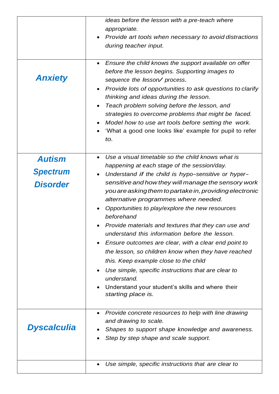|                    | ideas before the lesson with a pre-teach where<br>appropriate.<br>Provide art tools when necessary to avoid distractions<br>during teacher input.                                                                                                                                                                                                                                                                                                                                                                     |
|--------------------|-----------------------------------------------------------------------------------------------------------------------------------------------------------------------------------------------------------------------------------------------------------------------------------------------------------------------------------------------------------------------------------------------------------------------------------------------------------------------------------------------------------------------|
|                    |                                                                                                                                                                                                                                                                                                                                                                                                                                                                                                                       |
| <b>Anxiety</b>     | Ensure the child knows the support available on offer<br>$\bullet$<br>before the lesson begins. Supporting images to<br>sequence the lesson/process.<br>Provide lots of opportunities to ask questions to clarify<br>$\bullet$<br>thinking and ideas during the lesson.<br>Teach problem solving before the lesson, and<br>$\bullet$<br>strategies to overcome problems that might be faced.<br>Model how to use art tools before setting the work.<br>'What a good one looks like' example for pupil to refer<br>to. |
|                    |                                                                                                                                                                                                                                                                                                                                                                                                                                                                                                                       |
| <b>Autism</b>      | Use a visual timetable so the child knows what is<br>$\bullet$<br>happening at each stage of the session/day.                                                                                                                                                                                                                                                                                                                                                                                                         |
| <b>Spectrum</b>    | Understand if the child is hypo-sensitive or hyper-<br>$\bullet$                                                                                                                                                                                                                                                                                                                                                                                                                                                      |
| <b>Disorder</b>    | sensitive and how they will manage the sensory work                                                                                                                                                                                                                                                                                                                                                                                                                                                                   |
|                    | you are asking them to partake in, providing electronic                                                                                                                                                                                                                                                                                                                                                                                                                                                               |
|                    | alternative programmes where needed.                                                                                                                                                                                                                                                                                                                                                                                                                                                                                  |
|                    | Opportunities to play/explore the new resources                                                                                                                                                                                                                                                                                                                                                                                                                                                                       |
|                    | beforehand                                                                                                                                                                                                                                                                                                                                                                                                                                                                                                            |
|                    | Provide materials and textures that they can use and                                                                                                                                                                                                                                                                                                                                                                                                                                                                  |
|                    | understand this information before the lesson.<br>$\bullet$                                                                                                                                                                                                                                                                                                                                                                                                                                                           |
|                    | Ensure outcomes are clear, with a clear end point to<br>the lesson, so children know when they have reached                                                                                                                                                                                                                                                                                                                                                                                                           |
|                    | this. Keep example close to the child                                                                                                                                                                                                                                                                                                                                                                                                                                                                                 |
|                    | Use simple, specific instructions that are clear to<br>$\bullet$                                                                                                                                                                                                                                                                                                                                                                                                                                                      |
|                    | understand.                                                                                                                                                                                                                                                                                                                                                                                                                                                                                                           |
|                    | Understand your student's skills and where their                                                                                                                                                                                                                                                                                                                                                                                                                                                                      |
|                    | starting place is.                                                                                                                                                                                                                                                                                                                                                                                                                                                                                                    |
|                    | Provide concrete resources to help with line drawing<br>$\bullet$                                                                                                                                                                                                                                                                                                                                                                                                                                                     |
|                    | and drawing to scale.                                                                                                                                                                                                                                                                                                                                                                                                                                                                                                 |
| <b>Dyscalculia</b> | Shapes to support shape knowledge and awareness.                                                                                                                                                                                                                                                                                                                                                                                                                                                                      |
|                    | Step by step shape and scale support.                                                                                                                                                                                                                                                                                                                                                                                                                                                                                 |
|                    |                                                                                                                                                                                                                                                                                                                                                                                                                                                                                                                       |
|                    |                                                                                                                                                                                                                                                                                                                                                                                                                                                                                                                       |
|                    | Use simple, specific instructions that are clear to                                                                                                                                                                                                                                                                                                                                                                                                                                                                   |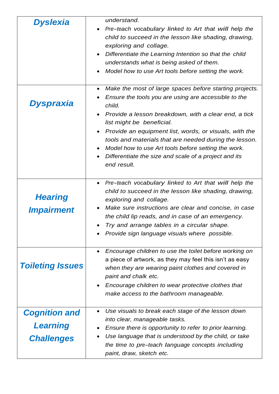| <b>Dyslexia</b>                                              | understand.<br>Pre-teach vocabulary linked to Art that will help the<br>$\bullet$<br>child to succeed in the lesson like shading, drawing,<br>exploring and collage.<br>Differentiate the Learning Intention so that the child<br>٠<br>understands what is being asked of them.<br>Model how to use Art tools before setting the work.                                                                                                                                                      |
|--------------------------------------------------------------|---------------------------------------------------------------------------------------------------------------------------------------------------------------------------------------------------------------------------------------------------------------------------------------------------------------------------------------------------------------------------------------------------------------------------------------------------------------------------------------------|
| Dyspraxia                                                    | Make the most of large spaces before starting projects.<br>$\bullet$<br>Ensure the tools you are using are accessible to the<br>child.<br>Provide a lesson breakdown, with a clear end, a tick<br>list might be beneficial.<br>Provide an equipment list, words, or visuals, with the<br>$\bullet$<br>tools and materials that are needed during the lesson.<br>Model how to use Art tools before setting the work.<br>Differentiate the size and scale of a project and its<br>end result. |
| <b>Hearing</b><br><b>Impairment</b>                          | Pre-teach vocabulary linked to Art that will help the<br>٠<br>child to succeed in the lesson like shading, drawing,<br>exploring and collage.<br>Make sure instructions are clear and concise, in case<br>the child lip reads, and in case of an emergency.<br>Try and arrange tables in a circular shape.<br>Provide sign language visuals where possible.                                                                                                                                 |
| <b>Toileting Issues</b>                                      | Encourage children to use the toilet before working on<br>a piece of artwork, as they may feel this isn't as easy<br>when they are wearing paint clothes and covered in<br>paint and chalk etc.<br>Encourage children to wear protective clothes that<br>$\bullet$<br>make access to the bathroom manageable.                                                                                                                                                                               |
| <b>Cognition and</b><br><b>Learning</b><br><b>Challenges</b> | Use visuals to break each stage of the lesson down<br>into clear, manageable tasks.<br>Ensure there is opportunity to refer to prior learning.<br>Use language that is understood by the child, or take<br>the time to pre-teach language concepts including<br>paint, draw, sketch etc.                                                                                                                                                                                                    |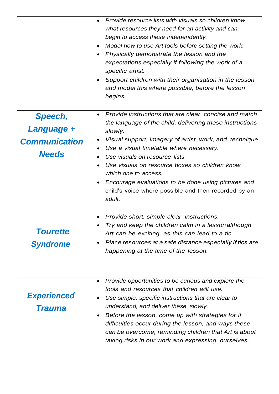|                                      | Provide resource lists with visuals so children know<br>what resources they need for an activity and can<br>begin to access these independently.<br>Model how to use Art tools before setting the work.<br>Physically demonstrate the lesson and the<br>expectations especially if following the work of a<br>specific artist.<br>Support children with their organisation in the lesson<br>$\bullet$<br>and model this where possible, before the lesson<br>begins. |
|--------------------------------------|----------------------------------------------------------------------------------------------------------------------------------------------------------------------------------------------------------------------------------------------------------------------------------------------------------------------------------------------------------------------------------------------------------------------------------------------------------------------|
| Speech,<br>Language +                | Provide instructions that are clear, concise and match<br>$\bullet$<br>the language of the child, delivering these instructions                                                                                                                                                                                                                                                                                                                                      |
| <b>Communication</b><br><b>Needs</b> | slowly.<br>Visual support, imagery of artist, work, and technique<br>Use a visual timetable where necessary.<br>Use visuals on resource lists.                                                                                                                                                                                                                                                                                                                       |
|                                      | Use visuals on resource boxes so children know<br>which one to access.<br>Encourage evaluations to be done using pictures and<br>child's voice where possible and then recorded by an<br>adult.                                                                                                                                                                                                                                                                      |
| <b>Tourette</b><br><b>Syndrome</b>   | Provide short, simple clear instructions.<br>Try and keep the children calm in a lesson although<br>Art can be exciting, as this can lead to a tic.<br>Place resources at a safe distance especially if tics are<br>happening at the time of the lesson.                                                                                                                                                                                                             |
| <b>Experienced</b><br><b>Trauma</b>  | Provide opportunities to be curious and explore the<br>tools and resources that children will use.<br>Use simple, specific instructions that are clear to<br>understand, and deliver these slowly.<br>Before the lesson, come up with strategies for if<br>difficulties occur during the lesson, and ways these<br>can be overcome, reminding children that Art is about<br>taking risks in our work and expressing ourselves.                                       |